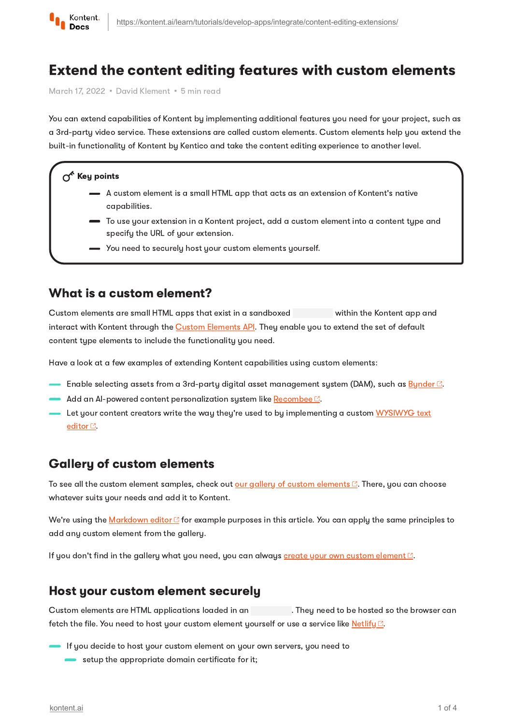

# Extend the content editing features with custom elements

March 17, 2022 · David Klement · 5 min read

You can extend capabilities of Kontent by implementing additional features you need for your project, such as a 3rd-party video service. These extensions are called custom elements. Custom elements help you extend the built-in functionality of Kontent by Kentico and take the content editing experience to another level.

#### $\Lambda^k$  Key points

- A custom element is a small HTML app that acts as an extension of Kontent's native capabilities.
- To use your extension in a Kontent project, add a custom element into a content type and specify the URL of your extension.
- You need to securely host your custom elements yourself.

## What is a custom element?

Custom elements are small HTML apps that exist in a sandboxed within the Kontent app and interact with Kontent through the Custom [Elements](https://kontent.ai/learn/reference/custom-elements-js-api/) API. They enable you to extend the set of default content type elements to include the functionality you need.

Have a look at a few examples of extending Kontent capabilities using custom elements:

- $-$  Enable selecting assets from a 3rd-party digital asset management system (DAM), such as  $\underline{\mathsf{Bynder}\boxdot}$  $\underline{\mathsf{Bynder}\boxdot}$  $\underline{\mathsf{Bynder}\boxdot}$  .
- Add an AI-powered content personalization system like  $\mathsf{Recombee}\, \mathbb{C}.$  $\mathsf{Recombee}\, \mathbb{C}.$  $\mathsf{Recombee}\, \mathbb{C}.$
- Let your content creators write the way they're used to by [implementing](https://github.com/Kentico/kontent-custom-element-simplemde-markdown-editor) a custom WYSIWYG text editor<sup>c</sup>.

# Gallery of custom elements

To see all the custom element samples, check out our gallery of custom [elements](https://kentico.github.io/kontent-custom-element-samples/gallery/)  $\mathbb{Z}$ . There, you can choose whatever suits your needs and add it to Kontent.

We're using the [Markdown](https://github.com/Kentico/kontent-custom-element-simplemde-markdown-editor) editor <sup>1</sup> for example purposes in this article. You can apply the same principles to add any custom element from the gallery.

If you don't find in the gallery what you need, you can always create your own custom [element](https://github.com/Kentico/kontent-custom-element-samples/blob/master/CREATE_CUSTOM_ELEMENT.md)  $\mathbb{C}$ .

### Host your custom element securely

Custom elements are HTML applications loaded in an . They need to be hosted so the browser can fetch the file. You need to host your custom element yourself or use a service like  $Netlify C.$  $Netlify C.$  $Netlify C.$ </u>

- If you decide to host your custom element on your own servers, you need to
	- $\blacksquare$  setup the appropriate domain certificate for it;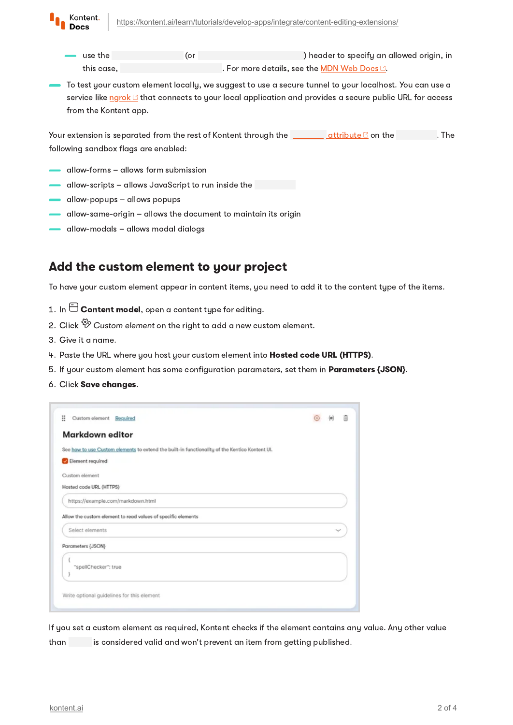

- use the (or ) header to specify an allowed origin, in this case, **. For more details, see the <u>MDN Web [Docs](https://developer.mozilla.org/en-US/docs/Web/HTTP/Headers/X-Frame-Options) C</u>.**
- To test your custom element locally, we suggest to use a secure tunnel to your localhost. You can use a service like [ngrok](https://ngrok.com/) <sup>2</sup> that connects to your local application and provides a secure public URL for access from the Kontent app.

Your extension is separated from the rest of Kontent through the  $\overline{\phantom{a}}$  [attribute](https://developer.mozilla.org/en-US/docs/Web/HTML/Element/iframe#attr-sandbox)  $\overline{\phantom{a}}$  on the  $\overline{\phantom{a}}$  . The following sandbox flags are enabled:

- allow-forms allows form submission
- allow-scripts allows JavaScript to run inside the
- allow-popups allows popups
- allow-same-origin allows the document to maintain its origin
- allow-modals allows modal dialogs

### Add the custom element to your project

To have your custom element appear in content items, you need to add it to the content type of the items.

- 1. In  $\boxminus$  Content model, open a content tupe for editing.
- 2. Click  $\overset{\text{\tiny{op}}}{\mathscr{D}}$  Custom element on the right to add a new custom element.
- 3. Give it a name.
- 4. Paste the URL where you host your custom element into Hosted code URL (HTTPS).
- 5. If your custom element has some configuration parameters, set them in **Parameters {JSON}**.
- 6. Click Save changes.

| Markdown editor                                                                                |  |  |
|------------------------------------------------------------------------------------------------|--|--|
| See how to use Custom elements to extend the built-in functionality of the Kentico Kontent UI. |  |  |
| Element required                                                                               |  |  |
| Custom element                                                                                 |  |  |
| Hosted code URL (HTTPS)                                                                        |  |  |
| https://example.com/markdown.html                                                              |  |  |
| Allow the custom element to read values of specific elements                                   |  |  |
| Select elements                                                                                |  |  |
| Parameters {JSON}                                                                              |  |  |
| "spellChecker": true                                                                           |  |  |
|                                                                                                |  |  |
|                                                                                                |  |  |

If you set a custom element as required, Kontent checks if the element contains any value. Any other value than is considered valid and won't prevent an item from getting published.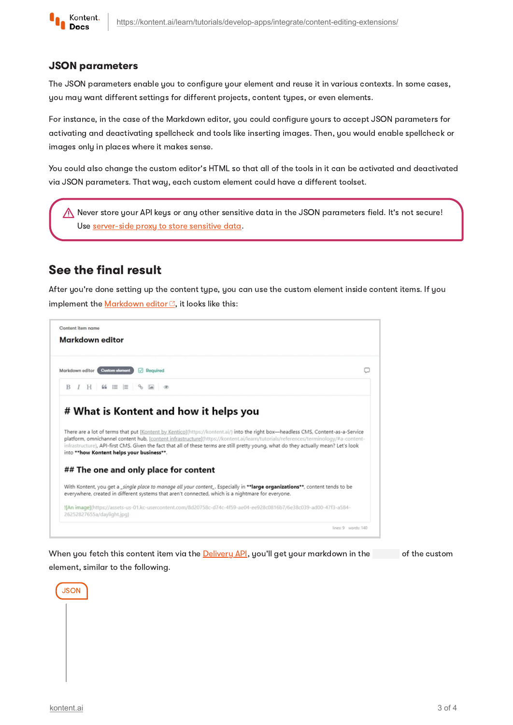

#### JSON parameters

The JSON parameters enable you to configure your element and reuse it in various contexts. In some cases, you may want different settings for different projects, content types, or even elements.

For instance, in the case of the Markdown editor, you could configure yours to accept JSON parameters for activating and deactivating spellcheck and tools like inserting images. Then, you would enable spellcheck or images only in places where it makes sense.

You could also change the custom editor's HTML so that all of the tools in it can be activated and deactivated via JSON parameters. That way, each custom element could have a different toolset.

Never store your API keys or any other sensitive data in the JSON parameters field. It's not secure! Use [server-side](https://kontent.ai/learn/tutorials/develop-apps/integrate/sensitive-data-in-custom-elements/) proxy to store sensitive data.

# See the final result

After you're done setting up the content type, you can use the custom element inside content items. If you implement the [Markdown](https://github.com/Kentico/kontent-custom-element-simplemde-markdown-editor) editor  $\mathbb{C}$ , it looks like this:

| Content item name<br><b>Markdown editor</b>                                                                                                                                                                                                                                                                                                                                                                                                                   |                     |
|---------------------------------------------------------------------------------------------------------------------------------------------------------------------------------------------------------------------------------------------------------------------------------------------------------------------------------------------------------------------------------------------------------------------------------------------------------------|---------------------|
| <b>Custom olomont</b><br>Markdown editor<br>$\boxed{\smile}$ Required                                                                                                                                                                                                                                                                                                                                                                                         |                     |
|                                                                                                                                                                                                                                                                                                                                                                                                                                                               |                     |
| # What is Kontent and how it helps you                                                                                                                                                                                                                                                                                                                                                                                                                        |                     |
| There are a lot of terms that put [Kontent by Kentico](https://kontent.ai/) into the right box-headless CMS, Content-as-a-Service<br>platform, omnichannel content hub, [content infrastructure](https://kontent.ai/learn/tutorials/references/terminology/#a-content-<br>infrastructure), API-first CMS. Given the fact that all of these terms are still pretty young, what do they actually mean? Let's look<br>into ** how Kontent helps your business**. |                     |
| ## The one and only place for content                                                                                                                                                                                                                                                                                                                                                                                                                         |                     |
| With Kontent, you get a_single place to manage all your content_. Especially in **large organizations**, content tends to be<br>everywhere, created in different systems that aren't connected, which is a nightmare for everyone.                                                                                                                                                                                                                            |                     |
| ![An image](https://assets-us-01.kc-usercontent.com/8d20758c-d74c-4f59-ae04-ee928c0816b7/6e38c039-ad00-47f3-a584-<br>26252827655a/daylight.jpg)                                                                                                                                                                                                                                                                                                               |                     |
|                                                                                                                                                                                                                                                                                                                                                                                                                                                               | lines: 9 words: 140 |

When you fetch this content item via the **[Delivery](https://kontent.ai/learn/reference/delivery-api/) API**, you'll get your markdown in the of the custom element, similar to the following.